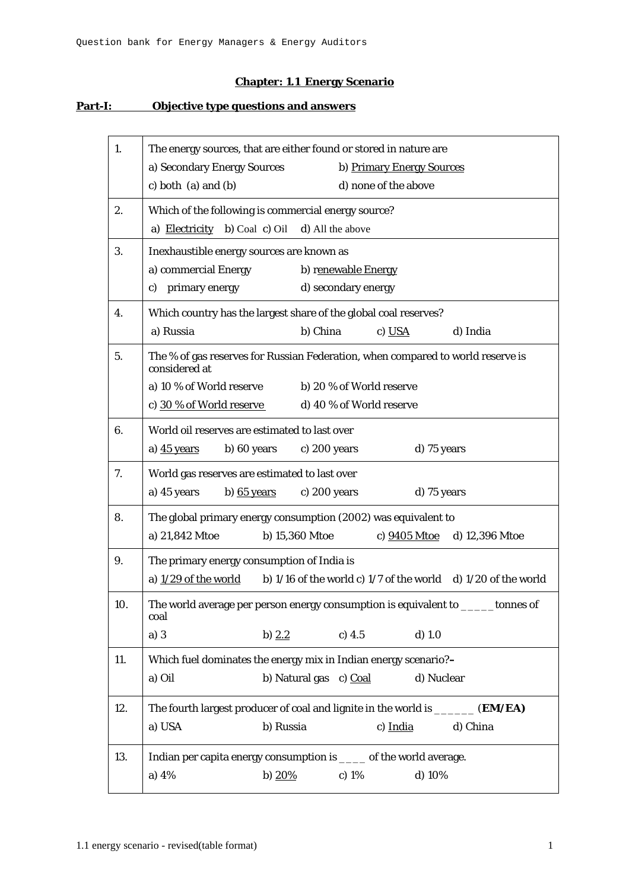## **Chapter: 1.1 Energy Scenario**

## **Part-I: Objective type questions and answers**

| 1.  | The energy sources, that are either found or stored in nature are                                           |
|-----|-------------------------------------------------------------------------------------------------------------|
|     | a) Secondary Energy Sources<br>b) Primary Energy Sources<br>c) both $(a)$ and $(b)$<br>d) none of the above |
| 2.  | Which of the following is commercial energy source?                                                         |
|     | a) <b>Electricity</b> b) Coal c) Oil d) All the above                                                       |
| 3.  | Inexhaustible energy sources are known as                                                                   |
|     | a) commercial Energy<br>b) renewable Energy                                                                 |
|     | c) primary energy<br>d) secondary energy                                                                    |
| 4.  | Which country has the largest share of the global coal reserves?                                            |
|     | a) Russia<br>b) China<br>d) India<br>c) USA                                                                 |
| 5.  | The % of gas reserves for Russian Federation, when compared to world reserve is<br>considered at            |
|     | a) 10 % of World reserve<br>b) 20 % of World reserve                                                        |
|     | c) 30 % of World reserve<br>d) 40 % of World reserve                                                        |
| 6.  | World oil reserves are estimated to last over                                                               |
|     | a) 45 years<br>b) 60 years<br>c) 200 years<br>d) 75 years                                                   |
| 7.  | World gas reserves are estimated to last over                                                               |
|     | a) 45 years<br>b) $65$ years<br>d) 75 years<br>c) $200$ years                                               |
| 8.  | The global primary energy consumption (2002) was equivalent to                                              |
|     | a) 21,842 Mtoe<br>b) 15,360 Mtoe<br>c) 9405 Mtoe<br>d) 12,396 Mtoe                                          |
| 9.  | The primary energy consumption of India is                                                                  |
|     | a) $1/29$ of the world<br>b) $1/16$ of the world c) $1/7$ of the world d) $1/20$ of the world               |
| 10. | The world average per person energy consumption is equivalent to<br>tonnes of<br>coal                       |
|     | a)3<br>b) $2.2$<br>c) 4.5<br>$d)$ 1.0                                                                       |
| 11. | Which fuel dominates the energy mix in Indian energy scenario?-                                             |
|     | a) Oil<br>b) Natural gas c) Coal<br>d) Nuclear                                                              |
| 12. | The fourth largest producer of coal and lignite in the world is ______ (EM/EA)                              |
|     | b) Russia<br>a) USA<br>c) India<br>d) China                                                                 |
| 13. | Indian per capita energy consumption is ____ of the world average.                                          |
|     | b) $20%$<br>a) $4%$<br>c) $1\%$<br>d) $10%$                                                                 |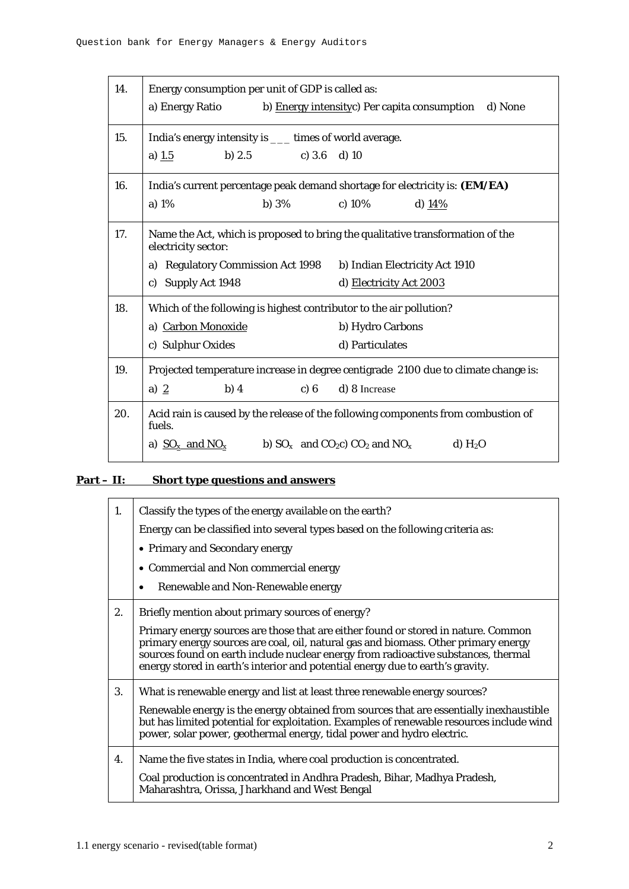| 14. | Energy consumption per unit of GDP is called as:<br>b) Energy intensityc) Per capita consumption d) None<br>a) Energy Ratio                                                                                                |
|-----|----------------------------------------------------------------------------------------------------------------------------------------------------------------------------------------------------------------------------|
| 15. | India's energy intensity is ____ times of world average.<br>a) $1.5$<br>b) 2.5 c) 3.6 d) 10                                                                                                                                |
| 16. | India's current percentage peak demand shortage for electricity is: (EM/EA)<br>a) 1%<br>b) $3\%$<br>c) $10\%$<br>d) $14%$                                                                                                  |
| 17. | Name the Act, which is proposed to bring the qualitative transformation of the<br>electricity sector:<br>a) Regulatory Commission Act 1998 b) Indian Electricity Act 1910<br>c) Supply Act 1948<br>d) Electricity Act 2003 |
| 18. | Which of the following is highest contributor to the air pollution?<br>a) Carbon Monoxide<br>b) Hydro Carbons<br>c) Sulphur Oxides<br>d) Particulates                                                                      |
| 19. | Projected temperature increase in degree centigrade 2100 due to climate change is:<br>a) $2$<br>b) $4$<br>c) 6<br>d) 8 Increase                                                                                            |
| 20. | Acid rain is caused by the release of the following components from combustion of<br>fuels.<br>a) $SO_x$ and $NO_x$ b) $SO_x$ and $CO_2c$ $CO_2$ and $NO_x$<br>$d)$ H <sub>2</sub> O                                       |

## **Part – II: Short type questions and answers**

| 1. | Classify the types of the energy available on the earth?<br>Energy can be classified into several types based on the following criteria as:<br>• Primary and Secondary energy<br>• Commercial and Non commercial energy<br>Renewable and Non-Renewable energy<br>٠                                                                                                                                    |
|----|-------------------------------------------------------------------------------------------------------------------------------------------------------------------------------------------------------------------------------------------------------------------------------------------------------------------------------------------------------------------------------------------------------|
| 2. | Briefly mention about primary sources of energy?<br>Primary energy sources are those that are either found or stored in nature. Common<br>primary energy sources are coal, oil, natural gas and biomass. Other primary energy<br>sources found on earth include nuclear energy from radioactive substances, thermal<br>energy stored in earth's interior and potential energy due to earth's gravity. |
| 3. | What is renewable energy and list at least three renewable energy sources?<br>Renewable energy is the energy obtained from sources that are essentially inexhaustible<br>but has limited potential for exploitation. Examples of renewable resources include wind<br>power, solar power, geothermal energy, tidal power and hydro electric.                                                           |
| 4. | Name the five states in India, where coal production is concentrated.<br>Coal production is concentrated in Andhra Pradesh, Bihar, Madhya Pradesh,<br>Maharashtra, Orissa, Jharkhand and West Bengal                                                                                                                                                                                                  |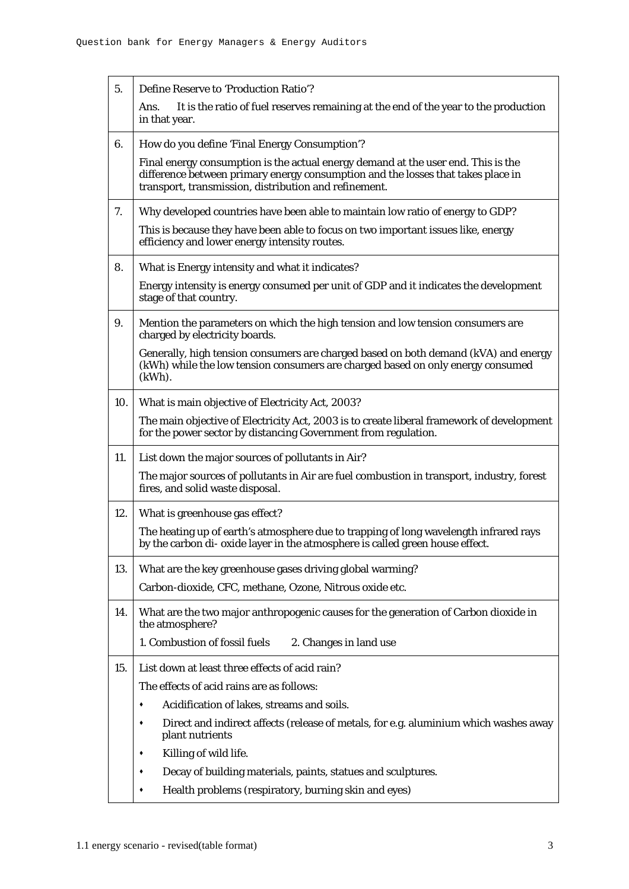| 5.  | <b>Define Reserve to 'Production Ratio'?</b>                                                                                                                                                                                   |
|-----|--------------------------------------------------------------------------------------------------------------------------------------------------------------------------------------------------------------------------------|
|     | It is the ratio of fuel reserves remaining at the end of the year to the production<br>Ans.<br>in that year.                                                                                                                   |
| 6.  | How do you define 'Final Energy Consumption'?                                                                                                                                                                                  |
|     | Final energy consumption is the actual energy demand at the user end. This is the<br>difference between primary energy consumption and the losses that takes place in<br>transport, transmission, distribution and refinement. |
| 7.  | Why developed countries have been able to maintain low ratio of energy to GDP?                                                                                                                                                 |
|     | This is because they have been able to focus on two important issues like, energy<br>efficiency and lower energy intensity routes.                                                                                             |
| 8.  | What is Energy intensity and what it indicates?                                                                                                                                                                                |
|     | Energy intensity is energy consumed per unit of GDP and it indicates the development<br>stage of that country.                                                                                                                 |
| 9.  | Mention the parameters on which the high tension and low tension consumers are<br>charged by electricity boards.                                                                                                               |
|     | Generally, high tension consumers are charged based on both demand (kVA) and energy<br>(kWh) while the low tension consumers are charged based on only energy consumed<br>$(kWh)$ .                                            |
| 10. | What is main objective of Electricity Act, 2003?                                                                                                                                                                               |
|     | The main objective of Electricity Act, 2003 is to create liberal framework of development<br>for the power sector by distancing Government from regulation.                                                                    |
| 11. | List down the major sources of pollutants in Air?                                                                                                                                                                              |
|     | The major sources of pollutants in Air are fuel combustion in transport, industry, forest<br>fires, and solid waste disposal.                                                                                                  |
| 12. | What is greenhouse gas effect?                                                                                                                                                                                                 |
|     | The heating up of earth's atmosphere due to trapping of long wavelength infrared rays<br>by the carbon di- oxide layer in the atmosphere is called green house effect.                                                         |
| 13. | What are the key greenhouse gases driving global warming?                                                                                                                                                                      |
|     | Carbon-dioxide, CFC, methane, Ozone, Nitrous oxide etc.                                                                                                                                                                        |
| 14. | What are the two major anthropogenic causes for the generation of Carbon dioxide in<br>the atmosphere?                                                                                                                         |
|     | 1. Combustion of fossil fuels<br>2. Changes in land use                                                                                                                                                                        |
| 15. | List down at least three effects of acid rain?                                                                                                                                                                                 |
|     | The effects of acid rains are as follows:                                                                                                                                                                                      |
|     | Acidification of lakes, streams and soils.<br>٠                                                                                                                                                                                |
|     | Direct and indirect affects (release of metals, for e.g. aluminium which washes away<br>٠<br>plant nutrients                                                                                                                   |
|     | Killing of wild life.<br>٠                                                                                                                                                                                                     |
|     | Decay of building materials, paints, statues and sculptures.<br>٠                                                                                                                                                              |
|     | Health problems (respiratory, burning skin and eyes)                                                                                                                                                                           |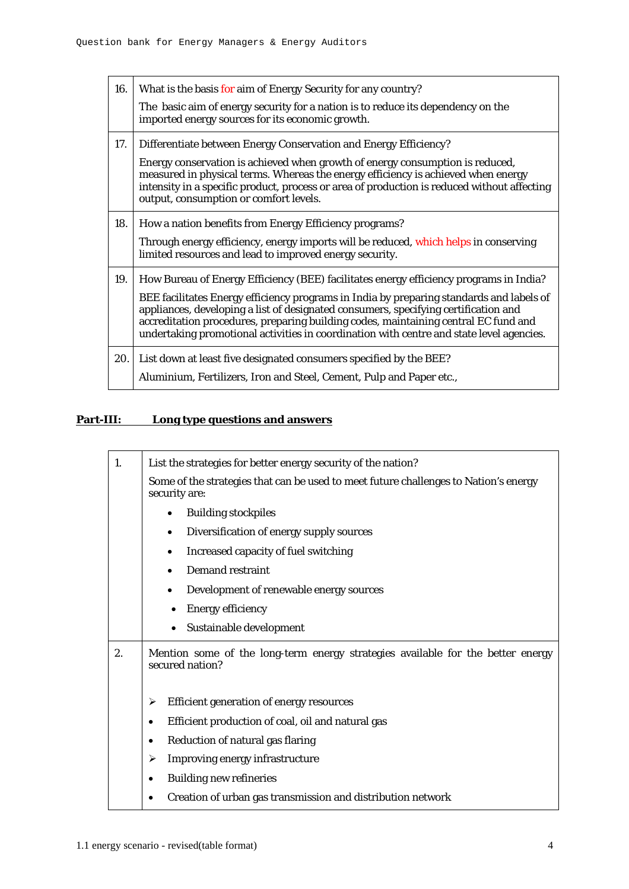| 16. | What is the basis for aim of Energy Security for any country?<br>The basic aim of energy security for a nation is to reduce its dependency on the<br>imported energy sources for its economic growth.                                                                                                                                                                                                                                                        |
|-----|--------------------------------------------------------------------------------------------------------------------------------------------------------------------------------------------------------------------------------------------------------------------------------------------------------------------------------------------------------------------------------------------------------------------------------------------------------------|
| 17. | Differentiate between Energy Conservation and Energy Efficiency?<br>Energy conservation is achieved when growth of energy consumption is reduced,<br>measured in physical terms. Whereas the energy efficiency is achieved when energy<br>intensity in a specific product, process or area of production is reduced without affecting<br>output, consumption or comfort levels.                                                                              |
| 18. | How a nation benefits from Energy Efficiency programs?<br>Through energy efficiency, energy imports will be reduced, which helps in conserving<br>limited resources and lead to improved energy security.                                                                                                                                                                                                                                                    |
| 19. | How Bureau of Energy Efficiency (BEE) facilitates energy efficiency programs in India?<br>BEE facilitates Energy efficiency programs in India by preparing standards and labels of<br>appliances, developing a list of designated consumers, specifying certification and<br>accreditation procedures, preparing building codes, maintaining central EC fund and<br>undertaking promotional activities in coordination with centre and state level agencies. |
| 20. | List down at least five designated consumers specified by the BEE?<br>Aluminium, Fertilizers, Iron and Steel, Cement, Pulp and Paper etc.,                                                                                                                                                                                                                                                                                                                   |

## **Part-III: Long type questions and answers**

| 1. | List the strategies for better energy security of the nation?                                         |
|----|-------------------------------------------------------------------------------------------------------|
|    | Some of the strategies that can be used to meet future challenges to Nation's energy<br>security are: |
|    | <b>Building stockpiles</b><br>$\bullet$                                                               |
|    | Diversification of energy supply sources<br>$\bullet$                                                 |
|    | Increased capacity of fuel switching<br>$\bullet$                                                     |
|    | <b>Demand restraint</b><br>$\bullet$                                                                  |
|    | Development of renewable energy sources<br>$\bullet$                                                  |
|    | <b>Energy efficiency</b>                                                                              |
|    | Sustainable development                                                                               |
| 2. | Mention some of the long-term energy strategies available for the better energy<br>secured nation?    |
|    | <b>Efficient generation of energy resources</b><br>➤                                                  |
|    | Efficient production of coal, oil and natural gas<br>$\bullet$                                        |
|    | Reduction of natural gas flaring<br>٠                                                                 |
|    | <b>Improving energy infrastructure</b><br>➤                                                           |
|    | <b>Building new refineries</b>                                                                        |
|    | Creation of urban gas transmission and distribution network                                           |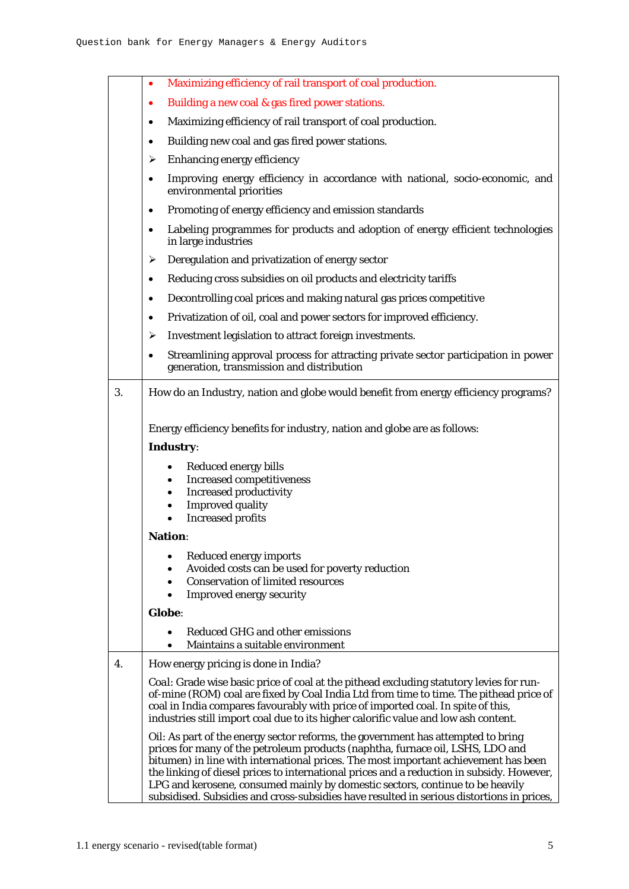|    | Maximizing efficiency of rail transport of coal production.<br>$\bullet$                                                                                                                                                                                                                                                                                                                                                                                                                                                             |
|----|--------------------------------------------------------------------------------------------------------------------------------------------------------------------------------------------------------------------------------------------------------------------------------------------------------------------------------------------------------------------------------------------------------------------------------------------------------------------------------------------------------------------------------------|
|    | Building a new coal & gas fired power stations.<br>$\bullet$                                                                                                                                                                                                                                                                                                                                                                                                                                                                         |
|    | Maximizing efficiency of rail transport of coal production.                                                                                                                                                                                                                                                                                                                                                                                                                                                                          |
|    | Building new coal and gas fired power stations.<br>$\bullet$                                                                                                                                                                                                                                                                                                                                                                                                                                                                         |
|    | Enhancing energy efficiency<br>➤                                                                                                                                                                                                                                                                                                                                                                                                                                                                                                     |
|    | Improving energy efficiency in accordance with national, socio-economic, and<br>$\bullet$<br>environmental priorities                                                                                                                                                                                                                                                                                                                                                                                                                |
|    | Promoting of energy efficiency and emission standards<br>$\bullet$                                                                                                                                                                                                                                                                                                                                                                                                                                                                   |
|    | Labeling programmes for products and adoption of energy efficient technologies<br>$\bullet$<br>in large industries                                                                                                                                                                                                                                                                                                                                                                                                                   |
|    | Deregulation and privatization of energy sector<br>➤                                                                                                                                                                                                                                                                                                                                                                                                                                                                                 |
|    | Reducing cross subsidies on oil products and electricity tariffs<br>$\bullet$                                                                                                                                                                                                                                                                                                                                                                                                                                                        |
|    | Decontrolling coal prices and making natural gas prices competitive<br>$\bullet$                                                                                                                                                                                                                                                                                                                                                                                                                                                     |
|    | Privatization of oil, coal and power sectors for improved efficiency.<br>$\bullet$                                                                                                                                                                                                                                                                                                                                                                                                                                                   |
|    | Investment legislation to attract foreign investments.<br>➤                                                                                                                                                                                                                                                                                                                                                                                                                                                                          |
|    | Streamlining approval process for attracting private sector participation in power<br>$\bullet$<br>generation, transmission and distribution                                                                                                                                                                                                                                                                                                                                                                                         |
| 3. | How do an Industry, nation and globe would benefit from energy efficiency programs?                                                                                                                                                                                                                                                                                                                                                                                                                                                  |
|    | Energy efficiency benefits for industry, nation and globe are as follows:<br>Industry:                                                                                                                                                                                                                                                                                                                                                                                                                                               |
|    | Reduced energy bills<br>$\bullet$<br><b>Increased competitiveness</b><br>٠<br><b>Increased productivity</b><br>٠<br><b>Improved quality</b><br><b>Increased profits</b>                                                                                                                                                                                                                                                                                                                                                              |
|    | <b>Nation:</b>                                                                                                                                                                                                                                                                                                                                                                                                                                                                                                                       |
|    | Reduced energy imports<br>Avoided costs can be used for poverty reduction<br><b>Conservation of limited resources</b><br><b>Improved energy security</b>                                                                                                                                                                                                                                                                                                                                                                             |
|    | Globe:                                                                                                                                                                                                                                                                                                                                                                                                                                                                                                                               |
|    | <b>Reduced GHG and other emissions</b><br>Maintains a suitable environment                                                                                                                                                                                                                                                                                                                                                                                                                                                           |
| 4. | How energy pricing is done in India?                                                                                                                                                                                                                                                                                                                                                                                                                                                                                                 |
|    | Coal: Grade wise basic price of coal at the pithead excluding statutory levies for run-<br>of-mine (ROM) coal are fixed by Coal India Ltd from time to time. The pithead price of<br>coal in India compares favourably with price of imported coal. In spite of this,<br>industries still import coal due to its higher calorific value and low ash content.                                                                                                                                                                         |
|    | Oil: As part of the energy sector reforms, the government has attempted to bring<br>prices for many of the petroleum products (naphtha, furnace oil, LSHS, LDO and<br>bitumen) in line with international prices. The most important achievement has been<br>the linking of diesel prices to international prices and a reduction in subsidy. However,<br>LPG and kerosene, consumed mainly by domestic sectors, continue to be heavily<br>subsidised. Subsidies and cross-subsidies have resulted in serious distortions in prices, |